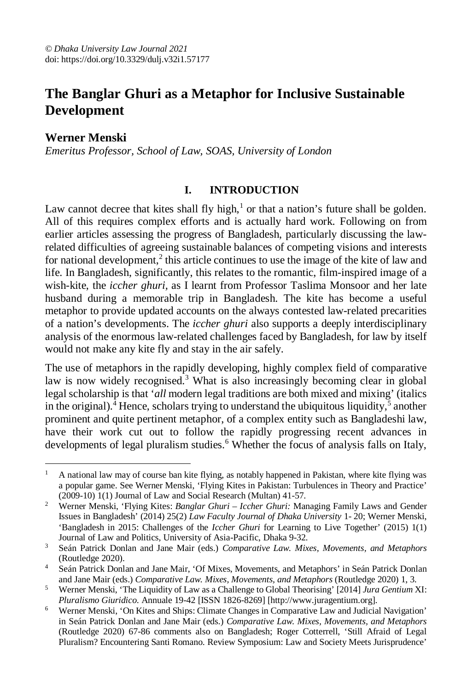# **The Banglar Ghuri as a Metaphor for Inclusive Sustainable Development**

**Werner Menski**

 $\overline{a}$ 

*Emeritus Professor, School of Law, SOAS, University of London*

#### **I. INTRODUCTION**

Law cannot decree that kites shall fly high, $<sup>1</sup>$  or that a nation's future shall be golden.</sup> All of this requires complex efforts and is actually hard work. Following on from earlier articles assessing the progress of Bangladesh, particularly discussing the lawrelated difficulties of agreeing sustainable balances of competing visions and interests for national development,<sup>2</sup> this article continues to use the image of the kite of law and life. In Bangladesh, significantly, this relates to the romantic, film-inspired image of a wish-kite, the *iccher ghuri,* as I learnt from Professor Taslima Monsoor and her late husband during a memorable trip in Bangladesh. The kite has become a useful metaphor to provide updated accounts on the always contested law-related precarities of a nation's developments. The *iccher ghuri* also supports a deeply interdisciplinary analysis of the enormous law-related challenges faced by Bangladesh, for law by itself would not make any kite fly and stay in the air safely.

The use of metaphors in the rapidly developing, highly complex field of comparative law is now widely recognised.<sup>3</sup> What is also increasingly becoming clear in global legal scholarship is that '*all* modern legal traditions are both mixed and mixing' (italics in the original).<sup> $\bar{4}$ </sup> Hence, scholars trying to understand the ubiquitous liquidity,  $\bar{5}$  another prominent and quite pertinent metaphor, of a complex entity such as Bangladeshi law, have their work cut out to follow the rapidly progressing recent advances in developments of legal pluralism studies.<sup>6</sup> Whether the focus of analysis falls on Italy,

<sup>&</sup>lt;sup>1</sup> A national law may of course ban kite flying, as notably happened in Pakistan, where kite flying was a popular game. See Werner Menski, 'Flying Kites in Pakistan: Turbulences in Theory and Practice' (2009-10) 1(1) Journal of Law and Social Research (Multan) 41-57.

<sup>2</sup> Werner Menski, 'Flying Kites: *Banglar Ghuri – Iccher Ghuri:* Managing Family Laws and Gender Issues in Bangladesh' (2014) 25(2) *Law Faculty Journal of Dhaka University* 1- 20; Werner Menski, 'Bangladesh in 2015: Challenges of the *Iccher Ghuri* for Learning to Live Together' (2015) 1(1) Journal of Law and Politics*,* University of Asia-Pacific, Dhaka 9-32.

<sup>3</sup> Seán Patrick Donlan and Jane Mair (eds.) *Comparative Law. Mixes, Movements, and Metaphors* (Routledge 2020).

<sup>4</sup> Seán Patrick Donlan and Jane Mair, 'Of Mixes, Movements, and Metaphors' in Seán Patrick Donlan and Jane Mair (eds.) *Comparative Law. Mixes, Movements, and Metaphors* (Routledge 2020) 1, 3.

<sup>5</sup> Werner Menski, 'The Liquidity of Law as a Challenge to Global Theorising' [2014] *Jura Gentium* XI: *Pluralismo Giuridico*. Annuale 19-42 [ISSN 1826-8269] [http://www.juragentium.org].

<sup>6</sup> Werner Menski, 'On Kites and Ships: Climate Changes in Comparative Law and Judicial Navigation' in Seán Patrick Donlan and Jane Mair (eds.) *Comparative Law. Mixes, Movements, and Metaphors*  (Routledge 2020) 67-86 comments also on Bangladesh; Roger Cotterrell, 'Still Afraid of Legal Pluralism? Encountering Santi Romano. Review Symposium: Law and Society Meets Jurisprudence'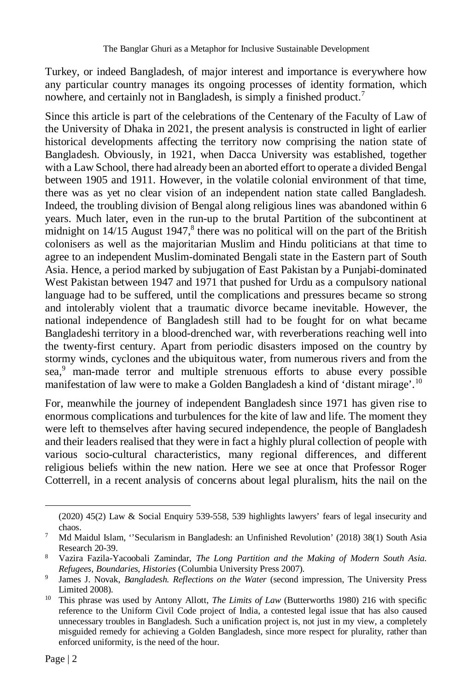Turkey, or indeed Bangladesh, of major interest and importance is everywhere how any particular country manages its ongoing processes of identity formation, which nowhere, and certainly not in Bangladesh, is simply a finished product.<sup>7</sup>

Since this article is part of the celebrations of the Centenary of the Faculty of Law of the University of Dhaka in 2021, the present analysis is constructed in light of earlier historical developments affecting the territory now comprising the nation state of Bangladesh. Obviously, in 1921, when Dacca University was established, together with a Law School, there had already been an aborted effort to operate a divided Bengal between 1905 and 1911. However, in the volatile colonial environment of that time, there was as yet no clear vision of an independent nation state called Bangladesh. Indeed, the troubling division of Bengal along religious lines was abandoned within 6 years. Much later, even in the run-up to the brutal Partition of the subcontinent at midnight on  $14/15$  August  $1947$ ,<sup>8</sup> there was no political will on the part of the British colonisers as well as the majoritarian Muslim and Hindu politicians at that time to agree to an independent Muslim-dominated Bengali state in the Eastern part of South Asia. Hence, a period marked by subjugation of East Pakistan by a Punjabi-dominated West Pakistan between 1947 and 1971 that pushed for Urdu as a compulsory national language had to be suffered, until the complications and pressures became so strong and intolerably violent that a traumatic divorce became inevitable. However, the national independence of Bangladesh still had to be fought for on what became Bangladeshi territory in a blood-drenched war, with reverberations reaching well into the twenty-first century. Apart from periodic disasters imposed on the country by stormy winds, cyclones and the ubiquitous water, from numerous rivers and from the sea.<sup>9</sup> man-made terror and multiple strenuous efforts to abuse every possible manifestation of law were to make a Golden Bangladesh a kind of 'distant mirage'.<sup>10</sup>

For, meanwhile the journey of independent Bangladesh since 1971 has given rise to enormous complications and turbulences for the kite of law and life. The moment they were left to themselves after having secured independence, the people of Bangladesh and their leaders realised that they were in fact a highly plural collection of people with various socio-cultural characteristics, many regional differences, and different religious beliefs within the new nation. Here we see at once that Professor Roger Cotterrell, in a recent analysis of concerns about legal pluralism, hits the nail on the

 $\overline{a}$ 

<sup>(2020) 45(2)</sup> Law & Social Enquiry 539-558, 539 highlights lawyers' fears of legal insecurity and chaos.

<sup>7</sup> Md Maidul Islam, ''Secularism in Bangladesh: an Unfinished Revolution' (2018) 38(1) South Asia Research 20-39.

<sup>8</sup> Vazira Fazila-Yacoobali Zamindar, *The Long Partition and the Making of Modern South Asia. Refugees, Boundaries, Histories* (Columbia University Press 2007).

<sup>9</sup> James J. Novak, *Bangladesh. Reflections on the Water* (second impression, The University Press Limited 2008).

<sup>10</sup> This phrase was used by Antony Allott, *The Limits of Law* (Butterworths 1980) 216 with specific reference to the Uniform Civil Code project of India, a contested legal issue that has also caused unnecessary troubles in Bangladesh. Such a unification project is, not just in my view, a completely misguided remedy for achieving a Golden Bangladesh, since more respect for plurality, rather than enforced uniformity, is the need of the hour.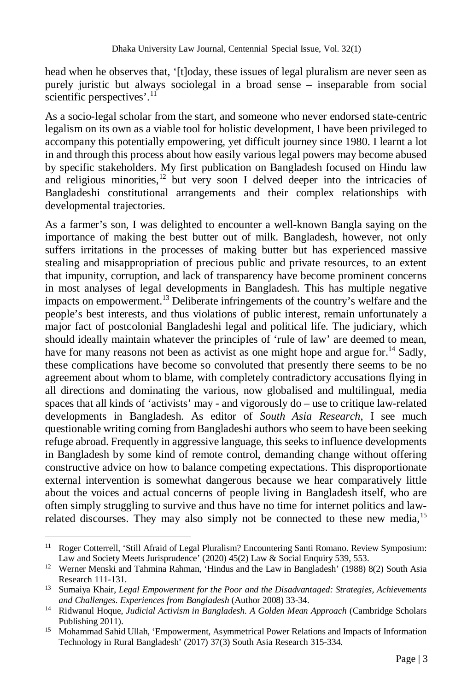head when he observes that, '[t]oday, these issues of legal pluralism are never seen as purely juristic but always sociolegal in a broad sense – inseparable from social scientific perspectives'. $11$ 

As a socio-legal scholar from the start, and someone who never endorsed state-centric legalism on its own as a viable tool for holistic development, I have been privileged to accompany this potentially empowering, yet difficult journey since 1980. I learnt a lot in and through this process about how easily various legal powers may become abused by specific stakeholders. My first publication on Bangladesh focused on Hindu law and religious minorities, $12$  but very soon I delved deeper into the intricacies of Bangladeshi constitutional arrangements and their complex relationships with developmental trajectories.

As a farmer's son, I was delighted to encounter a well-known Bangla saying on the importance of making the best butter out of milk. Bangladesh, however, not only suffers irritations in the processes of making butter but has experienced massive stealing and misappropriation of precious public and private resources, to an extent that impunity, corruption, and lack of transparency have become prominent concerns in most analyses of legal developments in Bangladesh. This has multiple negative impacts on empowerment.<sup>13</sup> Deliberate infringements of the country's welfare and the people's best interests, and thus violations of public interest, remain unfortunately a major fact of postcolonial Bangladeshi legal and political life. The judiciary, which should ideally maintain whatever the principles of 'rule of law' are deemed to mean, have for many reasons not been as activist as one might hope and argue for.<sup>14</sup> Sadly, these complications have become so convoluted that presently there seems to be no agreement about whom to blame, with completely contradictory accusations flying in all directions and dominating the various, now globalised and multilingual, media spaces that all kinds of 'activists' may - and vigorously do – use to critique law-related developments in Bangladesh. As editor of *South Asia Research*, I see much questionable writing coming from Bangladeshi authors who seem to have been seeking refuge abroad. Frequently in aggressive language, this seeks to influence developments in Bangladesh by some kind of remote control, demanding change without offering constructive advice on how to balance competing expectations. This disproportionate external intervention is somewhat dangerous because we hear comparatively little about the voices and actual concerns of people living in Bangladesh itself, who are often simply struggling to survive and thus have no time for internet politics and lawrelated discourses. They may also simply not be connected to these new media,<sup>15</sup>

 $\overline{a}$ <sup>11</sup> Roger Cotterrell, 'Still Afraid of Legal Pluralism? Encountering Santi Romano. Review Symposium: Law and Society Meets Jurisprudence' (2020) 45(2) Law & Social Enquiry 539, 553.

<sup>&</sup>lt;sup>12</sup> Werner Menski and Tahmina Rahman, 'Hindus and the Law in Bangladesh' (1988) 8(2) South Asia Research 111-131.

<sup>13</sup> Sumaiya Khair, *Legal Empowerment for the Poor and the Disadvantaged: Strategies, Achievements and Challenges. Experiences from Bangladesh* (Author 2008) 33-34.

<sup>&</sup>lt;sup>14</sup> Ridwanul Hoque, *Judicial Activism in Bangladesh. A Golden Mean Approach* (Cambridge Scholars Publishing 2011).

<sup>&</sup>lt;sup>15</sup> Mohammad Sahid Ullah, 'Empowerment, Asymmetrical Power Relations and Impacts of Information Technology in Rural Bangladesh' (2017) 37(3) South Asia Research 315-334.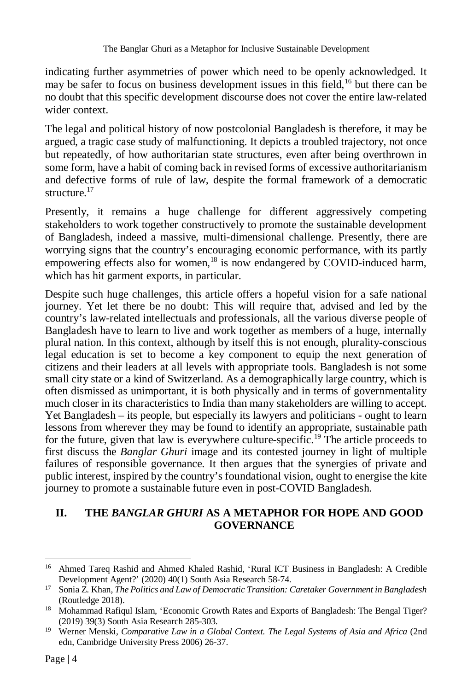indicating further asymmetries of power which need to be openly acknowledged. It may be safer to focus on business development issues in this field,<sup>16</sup> but there can be no doubt that this specific development discourse does not cover the entire law-related wider context.

The legal and political history of now postcolonial Bangladesh is therefore, it may be argued, a tragic case study of malfunctioning. It depicts a troubled trajectory, not once but repeatedly, of how authoritarian state structures, even after being overthrown in some form, have a habit of coming back in revised forms of excessive authoritarianism and defective forms of rule of law, despite the formal framework of a democratic structure.<sup>17</sup>

Presently, it remains a huge challenge for different aggressively competing stakeholders to work together constructively to promote the sustainable development of Bangladesh, indeed a massive, multi-dimensional challenge. Presently, there are worrying signs that the country's encouraging economic performance, with its partly empowering effects also for women,<sup>18</sup> is now endangered by COVID-induced harm, which has hit garment exports, in particular.

Despite such huge challenges, this article offers a hopeful vision for a safe national journey. Yet let there be no doubt: This will require that, advised and led by the country's law-related intellectuals and professionals, all the various diverse people of Bangladesh have to learn to live and work together as members of a huge, internally plural nation. In this context, although by itself this is not enough, plurality-conscious legal education is set to become a key component to equip the next generation of citizens and their leaders at all levels with appropriate tools. Bangladesh is not some small city state or a kind of Switzerland. As a demographically large country, which is often dismissed as unimportant, it is both physically and in terms of governmentality much closer in its characteristics to India than many stakeholders are willing to accept. Yet Bangladesh – its people, but especially its lawyers and politicians - ought to learn lessons from wherever they may be found to identify an appropriate, sustainable path for the future, given that law is everywhere culture-specific.<sup>19</sup> The article proceeds to first discuss the *Banglar Ghuri* image and its contested journey in light of multiple failures of responsible governance. It then argues that the synergies of private and public interest, inspired by the country's foundational vision, ought to energise the kite journey to promote a sustainable future even in post-COVID Bangladesh.

### **II. THE** *BANGLAR GHURI* **AS A METAPHOR FOR HOPE AND GOOD GOVERNANCE**

 $\overline{a}$ 

<sup>&</sup>lt;sup>16</sup> Ahmed Tareq Rashid and Ahmed Khaled Rashid, 'Rural ICT Business in Bangladesh: A Credible Development Agent?' (2020) 40(1) South Asia Research 58-74.

<sup>17</sup> Sonia Z. Khan, *The Politics and Law of Democratic Transition: Caretaker Government in Bangladesh* (Routledge 2018).

<sup>&</sup>lt;sup>18</sup> Mohammad Rafiqul Islam, 'Economic Growth Rates and Exports of Bangladesh: The Bengal Tiger? (2019) 39(3) South Asia Research 285-303.

<sup>&</sup>lt;sup>19</sup> Werner Menski, *Comparative Law in a Global Context. The Legal Systems of Asia and Africa* (2nd edn, Cambridge University Press 2006) 26-37.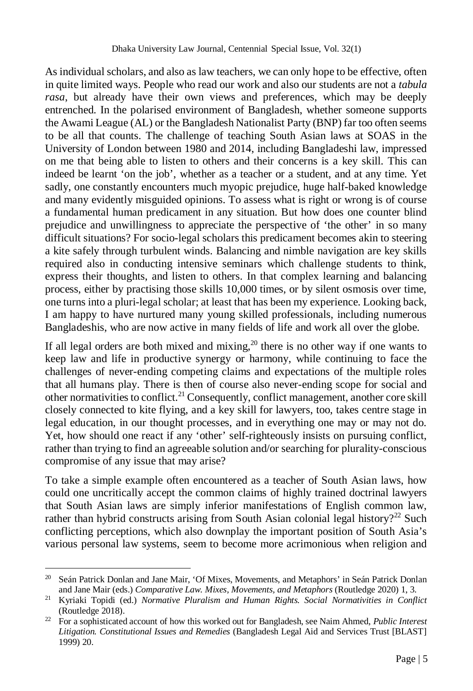As individual scholars, and also as law teachers, we can only hope to be effective, often in quite limited ways. People who read our work and also our students are not a *tabula rasa*, but already have their own views and preferences, which may be deeply entrenched. In the polarised environment of Bangladesh, whether someone supports the Awami League (AL) or the Bangladesh Nationalist Party (BNP) far too often seems to be all that counts. The challenge of teaching South Asian laws at SOAS in the University of London between 1980 and 2014, including Bangladeshi law, impressed on me that being able to listen to others and their concerns is a key skill. This can indeed be learnt 'on the job', whether as a teacher or a student, and at any time. Yet sadly, one constantly encounters much myopic prejudice, huge half-baked knowledge and many evidently misguided opinions. To assess what is right or wrong is of course a fundamental human predicament in any situation. But how does one counter blind prejudice and unwillingness to appreciate the perspective of 'the other' in so many difficult situations? For socio-legal scholars this predicament becomes akin to steering a kite safely through turbulent winds. Balancing and nimble navigation are key skills required also in conducting intensive seminars which challenge students to think, express their thoughts, and listen to others. In that complex learning and balancing process, either by practising those skills 10,000 times, or by silent osmosis over time, one turns into a pluri-legal scholar; at least that has been my experience. Looking back, I am happy to have nurtured many young skilled professionals, including numerous Bangladeshis, who are now active in many fields of life and work all over the globe.

If all legal orders are both mixed and mixing,  $^{20}$  there is no other way if one wants to keep law and life in productive synergy or harmony, while continuing to face the challenges of never-ending competing claims and expectations of the multiple roles that all humans play. There is then of course also never-ending scope for social and other normativities to conflict.<sup>21</sup> Consequently, conflict management, another core skill closely connected to kite flying, and a key skill for lawyers, too, takes centre stage in legal education, in our thought processes, and in everything one may or may not do. Yet, how should one react if any 'other' self-righteously insists on pursuing conflict, rather than trying to find an agreeable solution and/or searching for plurality-conscious compromise of any issue that may arise?

To take a simple example often encountered as a teacher of South Asian laws, how could one uncritically accept the common claims of highly trained doctrinal lawyers that South Asian laws are simply inferior manifestations of English common law, rather than hybrid constructs arising from South Asian colonial legal history?<sup>22</sup> Such conflicting perceptions, which also downplay the important position of South Asia's various personal law systems, seem to become more acrimonious when religion and

 $20$ <sup>20</sup> Seán Patrick Donlan and Jane Mair, 'Of Mixes, Movements, and Metaphors' in Seán Patrick Donlan and Jane Mair (eds.) *Comparative Law. Mixes, Movements, and Metaphors* (Routledge 2020) 1, 3.

<sup>21</sup> Kyriaki Topidi (ed.) *Normative Pluralism and Human Rights. Social Normativities in Conflict*  (Routledge 2018).

<sup>22</sup> For a sophisticated account of how this worked out for Bangladesh, see Naim Ahmed, *Public Interest Litigation. Constitutional Issues and Remedies* (Bangladesh Legal Aid and Services Trust [BLAST] 1999) 20.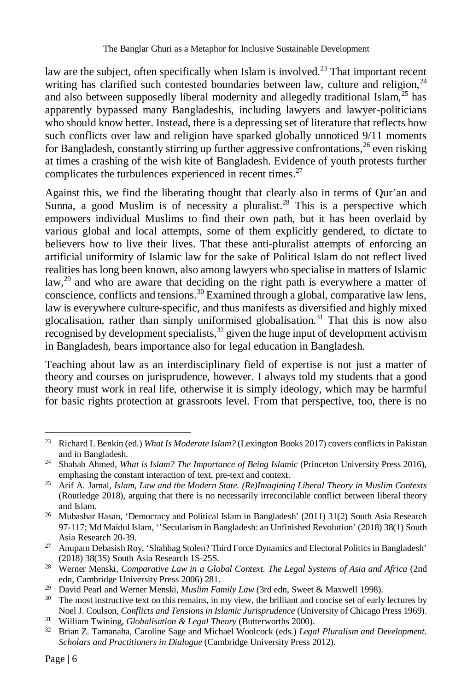law are the subject, often specifically when Islam is involved.<sup>23</sup> That important recent writing has clarified such contested boundaries between law, culture and religion, $^{24}$ and also between supposedly liberal modernity and allegedly traditional Islam, $^{25}$  has apparently bypassed many Bangladeshis, including lawyers and lawyer-politicians who should know better. Instead, there is a depressing set of literature that reflects how such conflicts over law and religion have sparked globally unnoticed 9/11 moments for Bangladesh, constantly stirring up further aggressive confrontations,  $^{26}$  even risking at times a crashing of the wish kite of Bangladesh. Evidence of youth protests further complicates the turbulences experienced in recent times.<sup>27</sup>

Against this, we find the liberating thought that clearly also in terms of Qur'an and Sunna, a good Muslim is of necessity a pluralist.<sup>28</sup> This is a perspective which empowers individual Muslims to find their own path, but it has been overlaid by various global and local attempts, some of them explicitly gendered, to dictate to believers how to live their lives. That these anti-pluralist attempts of enforcing an artificial uniformity of Islamic law for the sake of Political Islam do not reflect lived realities has long been known, also among lawyers who specialise in matters of Islamic law,<sup>29</sup> and who are aware that deciding on the right path is everywhere a matter of conscience, conflicts and tensions.<sup>30</sup> Examined through a global, comparative law lens, law is everywhere culture-specific, and thus manifests as diversified and highly mixed glocalisation, rather than simply uniformised globalisation.<sup>31</sup> That this is now also recognised by development specialists,  $32$  given the huge input of development activism in Bangladesh, bears importance also for legal education in Bangladesh.

Teaching about law as an interdisciplinary field of expertise is not just a matter of theory and courses on jurisprudence, however. I always told my students that a good theory must work in real life, otherwise it is simply ideology, which may be harmful for basic rights protection at grassroots level. From that perspective, too, there is no

 $\overline{a}$ <sup>23</sup> Richard L Benkin (ed.) *What Is Moderate Islam?* (Lexington Books 2017) covers conflicts in Pakistan and in Bangladesh.

<sup>&</sup>lt;sup>24</sup> Shahab Ahmed, *What is Islam? The Importance of Being Islamic* (Princeton University Press 2016), emphasing the constant interaction of text, pre-text and context.

<sup>25</sup> Arif A. Jamal, *Islam, Law and the Modern State. (Re)Imagining Liberal Theory in Muslim Contexts*  (Routledge 2018), arguing that there is no necessarily irreconcilable conflict between liberal theory and Islam.

<sup>26</sup> Mubashar Hasan, 'Democracy and Political Islam in Bangladesh' (2011) 31(2) South Asia Research 97-117; Md Maidul Islam, ''Secularism in Bangladesh: an Unfinished Revolution' (2018) 38(1) South Asia Research 20-39.

<sup>27</sup> Anupam Debasish Roy, 'Shahbag Stolen? Third Force Dynamics and Electoral Politics in Bangladesh' (2018) 38(3S) South Asia Research 1S-25S.

<sup>&</sup>lt;sup>28</sup> Werner Menski, *Comparative Law in a Global Context. The Legal Systems of Asia and Africa* (2nd edn, Cambridge University Press 2006) 281.

<sup>&</sup>lt;sup>29</sup> David Pearl and Werner Menski, *Muslim Family Law* (3rd edn, Sweet & Maxwell 1998).

<sup>&</sup>lt;sup>30</sup> The most instructive text on this remains, in my view, the brilliant and concise set of early lectures by Noel J. Coulson, *Conflicts and Tensions in Islamic Jurisprudence* (University of Chicago Press 1969).

<sup>31</sup> William Twining, *Globalisation & Legal Theory* (Butterworths 2000).

<sup>32</sup> Brian Z. Tamanaha, Caroline Sage and Michael Woolcock (eds.) *Legal Pluralism and Development. Scholars and Practitioners in Dialogue* (Cambridge University Press 2012).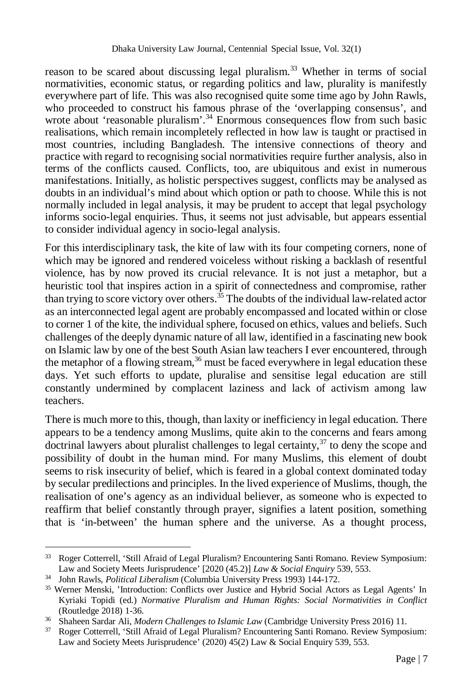reason to be scared about discussing legal pluralism.<sup>33</sup> Whether in terms of social normativities, economic status, or regarding politics and law, plurality is manifestly everywhere part of life. This was also recognised quite some time ago by John Rawls, who proceeded to construct his famous phrase of the 'overlapping consensus', and wrote about 'reasonable pluralism'.<sup>34</sup> Enormous consequences flow from such basic realisations, which remain incompletely reflected in how law is taught or practised in most countries, including Bangladesh. The intensive connections of theory and practice with regard to recognising social normativities require further analysis, also in terms of the conflicts caused. Conflicts, too, are ubiquitous and exist in numerous manifestations. Initially, as holistic perspectives suggest, conflicts may be analysed as doubts in an individual's mind about which option or path to choose. While this is not normally included in legal analysis, it may be prudent to accept that legal psychology informs socio-legal enquiries. Thus, it seems not just advisable, but appears essential to consider individual agency in socio-legal analysis.

For this interdisciplinary task, the kite of law with its four competing corners, none of which may be ignored and rendered voiceless without risking a backlash of resentful violence, has by now proved its crucial relevance. It is not just a metaphor, but a heuristic tool that inspires action in a spirit of connectedness and compromise, rather than trying to score victory over others.<sup>35</sup> The doubts of the individual law-related actor as an interconnected legal agent are probably encompassed and located within or close to corner 1 of the kite, the individual sphere, focused on ethics, values and beliefs. Such challenges of the deeply dynamic nature of all law, identified in a fascinating new book on Islamic law by one of the best South Asian law teachers I ever encountered, through the metaphor of a flowing stream,<sup>36</sup> must be faced everywhere in legal education these days. Yet such efforts to update, pluralise and sensitise legal education are still constantly undermined by complacent laziness and lack of activism among law teachers.

There is much more to this, though, than laxity or inefficiency in legal education. There appears to be a tendency among Muslims, quite akin to the concerns and fears among  $\det$  doctrinal lawyers about pluralist challenges to legal certainty,<sup>37</sup> to deny the scope and possibility of doubt in the human mind. For many Muslims, this element of doubt seems to risk insecurity of belief, which is feared in a global context dominated today by secular predilections and principles. In the lived experience of Muslims, though, the realisation of one's agency as an individual believer, as someone who is expected to reaffirm that belief constantly through prayer, signifies a latent position, something that is 'in-between' the human sphere and the universe. As a thought process,

<sup>33</sup> <sup>33</sup> Roger Cotterrell, 'Still Afraid of Legal Pluralism? Encountering Santi Romano. Review Symposium: Law and Society Meets Jurisprudence' [2020 (45.2)] *Law & Social Enquiry* 539, 553.

<sup>34</sup> John Rawls, *Political Liberalism* (Columbia University Press 1993) 144-172.

<sup>35</sup> Werner Menski, 'Introduction: Conflicts over Justice and Hybrid Social Actors as Legal Agents' In Kyriaki Topidi (ed.) *Normative Pluralism and Human Rights: Social Normativities in Conflict* (Routledge 2018) 1-36.

<sup>36</sup> Shaheen Sardar Ali, *Modern Challenges to Islamic Law* (Cambridge University Press 2016) 11.

<sup>37</sup> Roger Cotterrell, 'Still Afraid of Legal Pluralism? Encountering Santi Romano. Review Symposium: Law and Society Meets Jurisprudence' (2020) 45(2) Law & Social Enquiry 539, 553.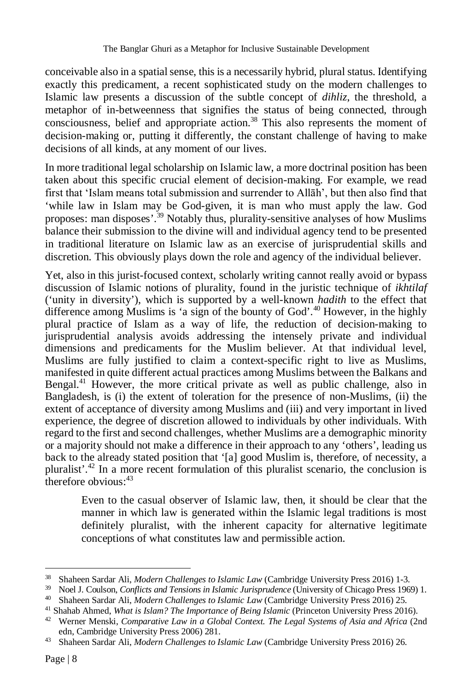conceivable also in a spatial sense, this is a necessarily hybrid, plural status. Identifying exactly this predicament, a recent sophisticated study on the modern challenges to Islamic law presents a discussion of the subtle concept of *dihliz*, the threshold, a metaphor of in-betweenness that signifies the status of being connected, through consciousness, belief and appropriate action.<sup>38</sup> This also represents the moment of decision-making or, putting it differently, the constant challenge of having to make decisions of all kinds, at any moment of our lives.

In more traditional legal scholarship on Islamic law, a more doctrinal position has been taken about this specific crucial element of decision-making. For example, we read first that 'Islam means total submission and surrender to Allāh', but then also find that 'while law in Islam may be God-given, it is man who must apply the law. God proposes: man disposes'.<sup>39</sup> Notably thus, plurality-sensitive analyses of how Muslims balance their submission to the divine will and individual agency tend to be presented in traditional literature on Islamic law as an exercise of jurisprudential skills and discretion. This obviously plays down the role and agency of the individual believer.

Yet, also in this jurist-focused context, scholarly writing cannot really avoid or bypass discussion of Islamic notions of plurality, found in the juristic technique of *ikhtilaf* ('unity in diversity'), which is supported by a well-known *hadith* to the effect that difference among Muslims is 'a sign of the bounty of God'.<sup>40</sup> However, in the highly plural practice of Islam as a way of life, the reduction of decision-making to iurisprudential analysis avoids addressing the intensely private and individual dimensions and predicaments for the Muslim believer. At that individual level, Muslims are fully justified to claim a context-specific right to live as Muslims, manifested in quite different actual practices among Muslims between the Balkans and Bengal.<sup>41</sup> However, the more critical private as well as public challenge, also in Bangladesh, is (i) the extent of toleration for the presence of non-Muslims, (ii) the extent of acceptance of diversity among Muslims and (iii) and very important in lived experience, the degree of discretion allowed to individuals by other individuals. With regard to the first and second challenges, whether Muslims are a demographic minority or a majority should not make a difference in their approach to any 'others', leading us back to the already stated position that '[a] good Muslim is, therefore, of necessity, a pluralist'.<sup>42</sup> In a more recent formulation of this pluralist scenario, the conclusion is therefore obvious: $43$ 

Even to the casual observer of Islamic law, then, it should be clear that the manner in which law is generated within the Islamic legal traditions is most definitely pluralist, with the inherent capacity for alternative legitimate conceptions of what constitutes law and permissible action.

 $38$ <sup>38</sup> Shaheen Sardar Ali, *Modern Challenges to Islamic Law* (Cambridge University Press 2016) 1-3.

<sup>39</sup> Noel J. Coulson, *Conflicts and Tensions in Islamic Jurisprudence* (University of Chicago Press 1969) 1.

<sup>40</sup> Shaheen Sardar Ali, *Modern Challenges to Islamic Law* (Cambridge University Press 2016) 25.

<sup>41</sup> Shahab Ahmed, *What is Islam? The Importance of Being Islamic* (Princeton University Press 2016).

<sup>&</sup>lt;sup>42</sup> Werner Menski, *Comparative Law in a Global Context. The Legal Systems of Asia and Africa* (2nd edn, Cambridge University Press 2006) 281.

<sup>43</sup> Shaheen Sardar Ali, *Modern Challenges to Islamic Law* (Cambridge University Press 2016) 26.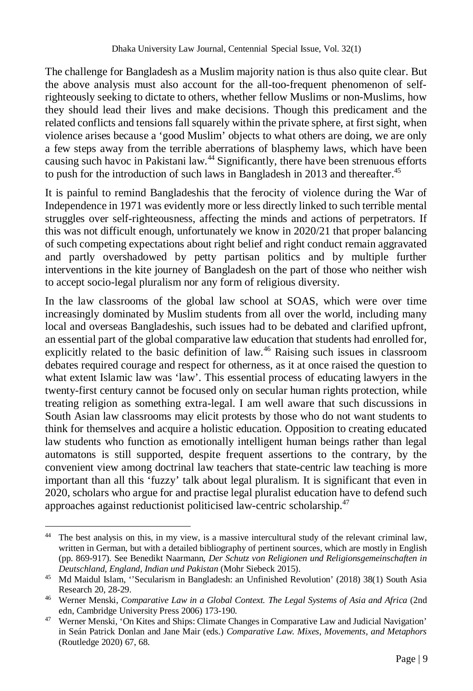The challenge for Bangladesh as a Muslim majority nation is thus also quite clear. But the above analysis must also account for the all-too-frequent phenomenon of selfrighteously seeking to dictate to others, whether fellow Muslims or non-Muslims, how they should lead their lives and make decisions. Though this predicament and the related conflicts and tensions fall squarely within the private sphere, at first sight, when violence arises because a 'good Muslim' objects to what others are doing, we are only a few steps away from the terrible aberrations of blasphemy laws, which have been causing such havoc in Pakistani law.<sup>44</sup> Significantly, there have been strenuous efforts to push for the introduction of such laws in Bangladesh in 2013 and thereafter.<sup>45</sup>

It is painful to remind Bangladeshis that the ferocity of violence during the War of Independence in 1971 was evidently more or less directly linked to such terrible mental struggles over self-righteousness, affecting the minds and actions of perpetrators. If this was not difficult enough, unfortunately we know in 2020/21 that proper balancing of such competing expectations about right belief and right conduct remain aggravated and partly overshadowed by petty partisan politics and by multiple further interventions in the kite journey of Bangladesh on the part of those who neither wish to accept socio-legal pluralism nor any form of religious diversity.

In the law classrooms of the global law school at SOAS, which were over time increasingly dominated by Muslim students from all over the world, including many local and overseas Bangladeshis, such issues had to be debated and clarified upfront, an essential part of the global comparative law education that students had enrolled for, explicitly related to the basic definition of law.<sup>46</sup> Raising such issues in classroom debates required courage and respect for otherness, as it at once raised the question to what extent Islamic law was 'law'. This essential process of educating lawyers in the twenty-first century cannot be focused only on secular human rights protection, while treating religion as something extra-legal. I am well aware that such discussions in South Asian law classrooms may elicit protests by those who do not want students to think for themselves and acquire a holistic education. Opposition to creating educated law students who function as emotionally intelligent human beings rather than legal automatons is still supported, despite frequent assertions to the contrary, by the convenient view among doctrinal law teachers that state-centric law teaching is more important than all this 'fuzzy' talk about legal pluralism. It is significant that even in 2020, scholars who argue for and practise legal pluralist education have to defend such approaches against reductionist politicised law-centric scholarship.<sup>47</sup>

 $\overline{a}$ <sup>44</sup> The best analysis on this, in my view, is a massive intercultural study of the relevant criminal law, written in German, but with a detailed bibliography of pertinent sources, which are mostly in English (pp. 869-917). See Benedikt Naarmann, *Der Schutz von Religionen und Religionsgemeinschaften in Deutschland, England, Indian und Pakistan* (Mohr Siebeck 2015).

<sup>45</sup> Md Maidul Islam, ''Secularism in Bangladesh: an Unfinished Revolution' (2018) 38(1) South Asia Research 20, 28-29.

<sup>46</sup> Werner Menski, *Comparative Law in a Global Context. The Legal Systems of Asia and Africa* (2nd edn, Cambridge University Press 2006) 173-190.

<sup>&</sup>lt;sup>47</sup> Werner Menski, 'On Kites and Ships: Climate Changes in Comparative Law and Judicial Navigation' in Seán Patrick Donlan and Jane Mair (eds.) *Comparative Law. Mixes, Movements, and Metaphors*  (Routledge 2020) 67, 68.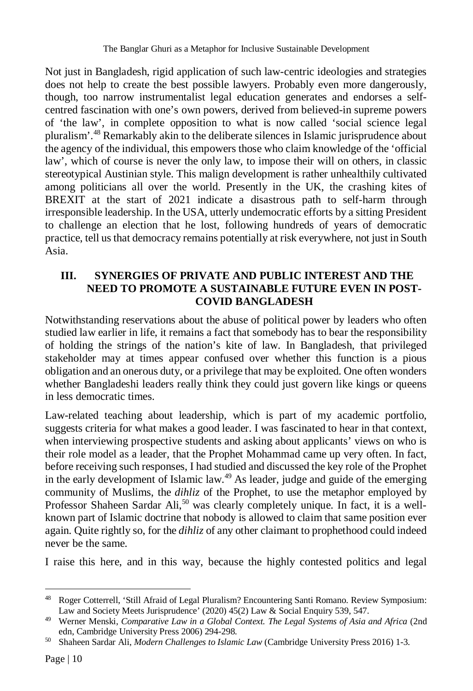Not just in Bangladesh, rigid application of such law-centric ideologies and strategies does not help to create the best possible lawyers. Probably even more dangerously, though, too narrow instrumentalist legal education generates and endorses a selfcentred fascination with one's own powers, derived from believed-in supreme powers of 'the law', in complete opposition to what is now called 'social science legal pluralism'.<sup>48</sup> Remarkably akin to the deliberate silences in Islamic jurisprudence about the agency of the individual, this empowers those who claim knowledge of the 'official law', which of course is never the only law, to impose their will on others, in classic stereotypical Austinian style. This malign development is rather unhealthily cultivated among politicians all over the world. Presently in the UK, the crashing kites of BREXIT at the start of 2021 indicate a disastrous path to self-harm through irresponsible leadership. In the USA, utterly undemocratic efforts by a sitting President to challenge an election that he lost, following hundreds of years of democratic practice, tell us that democracy remains potentially at risk everywhere, not just in South Asia.

# **III. SYNERGIES OF PRIVATE AND PUBLIC INTEREST AND THE NEED TO PROMOTE A SUSTAINABLE FUTURE EVEN IN POST-COVID BANGLADESH**

Notwithstanding reservations about the abuse of political power by leaders who often studied law earlier in life, it remains a fact that somebody has to bear the responsibility of holding the strings of the nation's kite of law. In Bangladesh, that privileged stakeholder may at times appear confused over whether this function is a pious obligation and an onerous duty, or a privilege that may be exploited. One often wonders whether Bangladeshi leaders really think they could just govern like kings or queens in less democratic times.

Law-related teaching about leadership, which is part of my academic portfolio, suggests criteria for what makes a good leader. I was fascinated to hear in that context, when interviewing prospective students and asking about applicants' views on who is their role model as a leader, that the Prophet Mohammad came up very often. In fact, before receiving such responses, I had studied and discussed the key role of the Prophet in the early development of Islamic law.<sup>49</sup> As leader, judge and guide of the emerging community of Muslims, the *dihliz* of the Prophet, to use the metaphor employed by Professor Shaheen Sardar Ali,<sup>50</sup> was clearly completely unique. In fact, it is a wellknown part of Islamic doctrine that nobody is allowed to claim that same position ever again. Quite rightly so, for the *dihliz* of any other claimant to prophethood could indeed never be the same.

I raise this here, and in this way, because the highly contested politics and legal

 $\overline{a}$ <sup>48</sup> Roger Cotterrell, 'Still Afraid of Legal Pluralism? Encountering Santi Romano. Review Symposium: Law and Society Meets Jurisprudence' (2020) 45(2) Law & Social Enquiry 539, 547.

<sup>&</sup>lt;sup>49</sup> Werner Menski, *Comparative Law in a Global Context. The Legal Systems of Asia and Africa* (2nd edn, Cambridge University Press 2006) 294-298.

<sup>50</sup> Shaheen Sardar Ali, *Modern Challenges to Islamic Law* (Cambridge University Press 2016) 1-3.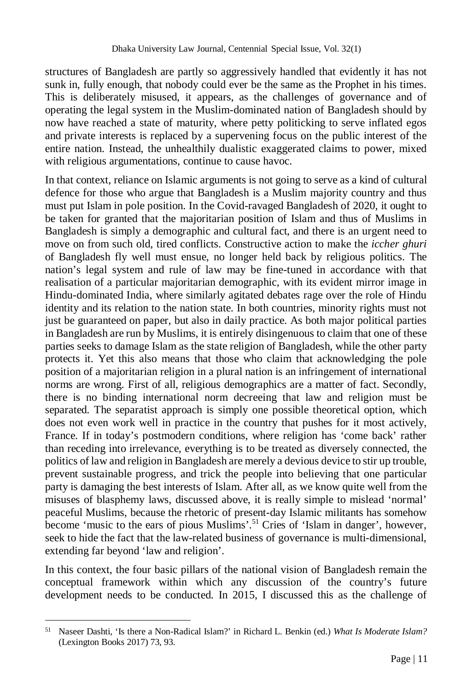structures of Bangladesh are partly so aggressively handled that evidently it has not sunk in, fully enough, that nobody could ever be the same as the Prophet in his times. This is deliberately misused, it appears, as the challenges of governance and of operating the legal system in the Muslim-dominated nation of Bangladesh should by now have reached a state of maturity, where petty politicking to serve inflated egos and private interests is replaced by a supervening focus on the public interest of the entire nation. Instead, the unhealthily dualistic exaggerated claims to power, mixed with religious argumentations, continue to cause havoc.

In that context, reliance on Islamic arguments is not going to serve as a kind of cultural defence for those who argue that Bangladesh is a Muslim majority country and thus must put Islam in pole position. In the Covid-ravaged Bangladesh of 2020, it ought to be taken for granted that the majoritarian position of Islam and thus of Muslims in Bangladesh is simply a demographic and cultural fact, and there is an urgent need to move on from such old, tired conflicts. Constructive action to make the *iccher ghuri* of Bangladesh fly well must ensue, no longer held back by religious politics. The nation's legal system and rule of law may be fine-tuned in accordance with that realisation of a particular majoritarian demographic, with its evident mirror image in Hindu-dominated India, where similarly agitated debates rage over the role of Hindu identity and its relation to the nation state. In both countries, minority rights must not just be guaranteed on paper, but also in daily practice. As both major political parties in Bangladesh are run by Muslims, it is entirely disingenuous to claim that one of these parties seeks to damage Islam as the state religion of Bangladesh, while the other party protects it. Yet this also means that those who claim that acknowledging the pole position of a majoritarian religion in a plural nation is an infringement of international norms are wrong. First of all, religious demographics are a matter of fact. Secondly, there is no binding international norm decreeing that law and religion must be separated. The separatist approach is simply one possible theoretical option, which does not even work well in practice in the country that pushes for it most actively, France. If in today's postmodern conditions, where religion has 'come back' rather than receding into irrelevance, everything is to be treated as diversely connected, the politics of law and religion in Bangladesh are merely a devious device to stir up trouble, prevent sustainable progress, and trick the people into believing that one particular party is damaging the best interests of Islam. After all, as we know quite well from the misuses of blasphemy laws, discussed above, it is really simple to mislead 'normal' peaceful Muslims, because the rhetoric of present-day Islamic militants has somehow become 'music to the ears of pious Muslims'.<sup>51</sup> Cries of 'Islam in danger', however, seek to hide the fact that the law-related business of governance is multi-dimensional, extending far beyond 'law and religion'.

In this context, the four basic pillars of the national vision of Bangladesh remain the conceptual framework within which any discussion of the country's future development needs to be conducted. In 2015, I discussed this as the challenge of

 $\overline{a}$ 

<sup>51</sup> Naseer Dashti, 'Is there a Non-Radical Islam?' in Richard L. Benkin (ed.) *What Is Moderate Islam?* (Lexington Books 2017) 73, 93.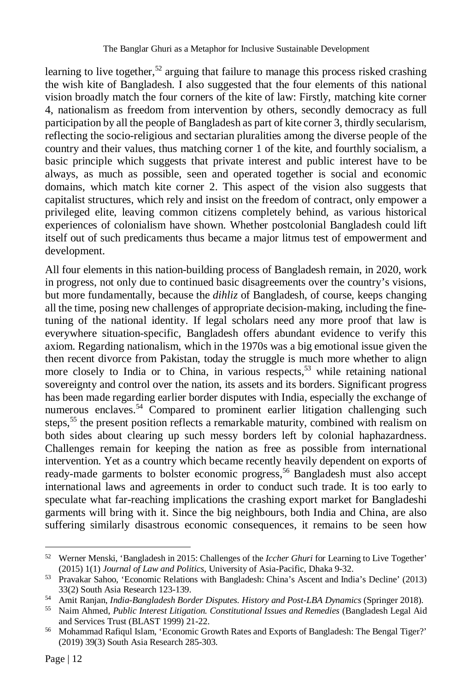learning to live together,<sup>52</sup> arguing that failure to manage this process risked crashing the wish kite of Bangladesh. I also suggested that the four elements of this national vision broadly match the four corners of the kite of law: Firstly, matching kite corner 4, nationalism as freedom from intervention by others, secondly democracy as full participation by all the people of Bangladesh as part of kite corner 3, thirdly secularism, reflecting the socio-religious and sectarian pluralities among the diverse people of the country and their values, thus matching corner 1 of the kite, and fourthly socialism, a basic principle which suggests that private interest and public interest have to be always, as much as possible, seen and operated together is social and economic domains, which match kite corner 2. This aspect of the vision also suggests that capitalist structures, which rely and insist on the freedom of contract, only empower a privileged elite, leaving common citizens completely behind, as various historical experiences of colonialism have shown. Whether postcolonial Bangladesh could lift itself out of such predicaments thus became a major litmus test of empowerment and development.

All four elements in this nation-building process of Bangladesh remain, in 2020, work in progress, not only due to continued basic disagreements over the country's visions, but more fundamentally, because the *dihliz* of Bangladesh, of course, keeps changing all the time, posing new challenges of appropriate decision-making, including the finetuning of the national identity. If legal scholars need any more proof that law is everywhere situation-specific, Bangladesh offers abundant evidence to verify this axiom. Regarding nationalism, which in the 1970s was a big emotional issue given the then recent divorce from Pakistan, today the struggle is much more whether to align more closely to India or to China, in various respects,<sup>53</sup> while retaining national sovereignty and control over the nation, its assets and its borders. Significant progress has been made regarding earlier border disputes with India, especially the exchange of numerous enclaves.<sup>54</sup> Compared to prominent earlier litigation challenging such steps,<sup>55</sup> the present position reflects a remarkable maturity, combined with realism on both sides about clearing up such messy borders left by colonial haphazardness. Challenges remain for keeping the nation as free as possible from international intervention. Yet as a country which became recently heavily dependent on exports of ready-made garments to bolster economic progress,<sup>56</sup> Bangladesh must also accept international laws and agreements in order to conduct such trade. It is too early to speculate what far-reaching implications the crashing export market for Bangladeshi garments will bring with it. Since the big neighbours, both India and China, are also suffering similarly disastrous economic consequences, it remains to be seen how

 $\overline{a}$ <sup>52</sup> Werner Menski, 'Bangladesh in 2015: Challenges of the *Iccher Ghuri* for Learning to Live Together' (2015) 1(1) *Journal of Law and Politics,* University of Asia-Pacific, Dhaka 9-32.

<sup>53</sup> Pravakar Sahoo, 'Economic Relations with Bangladesh: China's Ascent and India's Decline' (2013) 33(2) South Asia Research 123-139.

<sup>54</sup> Amit Ranjan, *India-Bangladesh Border Disputes. History and Post-LBA Dynamics* (Springer 2018).

<sup>55</sup> Naim Ahmed, *Public Interest Litigation. Constitutional Issues and Remedies* (Bangladesh Legal Aid and Services Trust (BLAST 1999) 21-22.

<sup>56</sup> Mohammad Rafiqul Islam, 'Economic Growth Rates and Exports of Bangladesh: The Bengal Tiger?' (2019) 39(3) South Asia Research 285-303.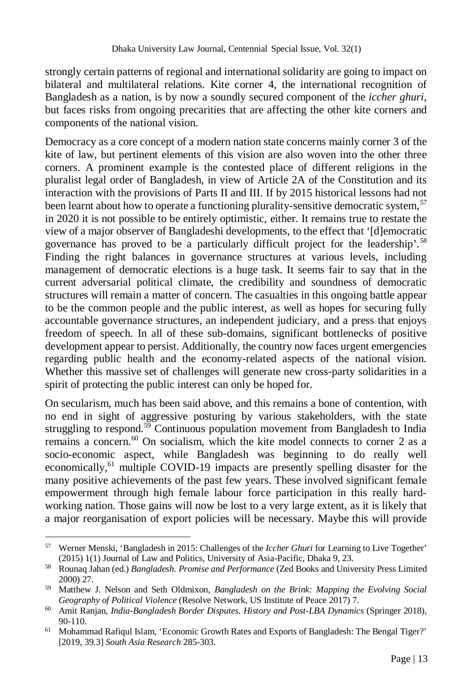strongly certain patterns of regional and international solidarity are going to impact on bilateral and multilateral relations. Kite corner 4, the international recognition of Bangladesh as a nation, is by now a soundly secured component of the *iccher ghuri*, but faces risks from ongoing precarities that are affecting the other kite corners and components of the national vision.

Democracy as a core concept of a modern nation state concerns mainly corner 3 of the kite of law, but pertinent elements of this vision are also woven into the other three corners. A prominent example is the contested place of different religions in the pluralist legal order of Bangladesh, in view of Article 2A of the Constitution and its interaction with the provisions of Parts II and III. If by 2015 historical lessons had not been learnt about how to operate a functioning plurality-sensitive democratic system, <sup>57</sup> in 2020 it is not possible to be entirely optimistic, either. It remains true to restate the view of a major observer of Bangladeshi developments, to the effect that '[d]emocratic governance has proved to be a particularly difficult project for the leadership'.<sup>58</sup> Finding the right balances in governance structures at various levels, including management of democratic elections is a huge task. It seems fair to say that in the current adversarial political climate, the credibility and soundness of democratic structures will remain a matter of concern. The casualties in this ongoing battle appear to be the common people and the public interest, as well as hopes for securing fully accountable governance structures, an independent judiciary, and a press that enjoys freedom of speech. In all of these sub-domains, significant bottlenecks of positive development appear to persist. Additionally, the country now faces urgent emergencies regarding public health and the economy-related aspects of the national vision. Whether this massive set of challenges will generate new cross-party solidarities in a spirit of protecting the public interest can only be hoped for.

On secularism, much has been said above, and this remains a bone of contention, with no end in sight of aggressive posturing by various stakeholders, with the state struggling to respond.<sup>59</sup> Continuous population movement from Bangladesh to India remains a concern. $60$  On socialism, which the kite model connects to corner 2 as a socio-economic aspect, while Bangladesh was beginning to do really well economically,<sup>61</sup> multiple COVID-19 impacts are presently spelling disaster for the many positive achievements of the past few years. These involved significant female empowerment through high female labour force participation in this really hardworking nation. Those gains will now be lost to a very large extent, as it is likely that a major reorganisation of export policies will be necessary. Maybe this will provide

 $\overline{a}$ <sup>57</sup> Werner Menski, 'Bangladesh in 2015: Challenges of the *Iccher Ghuri* for Learning to Live Together' (2015) 1(1) Journal of Law and Politics, University of Asia-Pacific, Dhaka 9, 23.

<sup>58</sup> Rounaq Jahan (ed.) *Bangladesh. Promise and Performance* (Zed Books and University Press Limited 2000) 27.

<sup>59</sup> Matthew J. Nelson and Seth Oldmixon, *Bangladesh on the Brink: Mapping the Evolving Social Geography of Political Violence* (Resolve Network, US Institute of Peace 2017) 7.

<sup>60</sup> Amit Ranjan, *India-Bangladesh Border Disputes. History and Post-LBA Dynamics* (Springer 2018), 90-110.

<sup>61</sup> Mohammad Rafiqul Islam, 'Economic Growth Rates and Exports of Bangladesh: The Bengal Tiger?' [2019, 39.3] *South Asia Research* 285-303.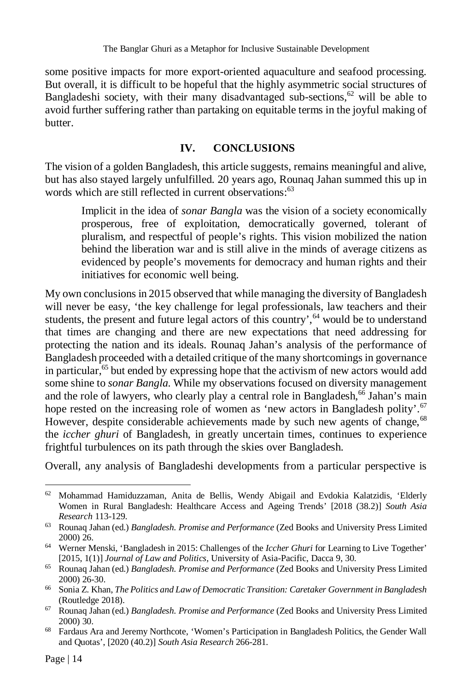some positive impacts for more export-oriented aquaculture and seafood processing. But overall, it is difficult to be hopeful that the highly asymmetric social structures of Bangladeshi society, with their many disadvantaged sub-sections, $62$  will be able to avoid further suffering rather than partaking on equitable terms in the joyful making of butter.

# **IV. CONCLUSIONS**

The vision of a golden Bangladesh, this article suggests, remains meaningful and alive, but has also stayed largely unfulfilled. 20 years ago, Rounaq Jahan summed this up in words which are still reflected in current observations:<sup>63</sup>

Implicit in the idea of *sonar Bangla* was the vision of a society economically prosperous, free of exploitation, democratically governed, tolerant of pluralism, and respectful of people's rights. This vision mobilized the nation behind the liberation war and is still alive in the minds of average citizens as evidenced by people's movements for democracy and human rights and their initiatives for economic well being.

My own conclusions in 2015 observed that while managing the diversity of Bangladesh will never be easy, 'the key challenge for legal professionals, law teachers and their students, the present and future legal actors of this country',<sup>64</sup> would be to understand that times are changing and there are new expectations that need addressing for protecting the nation and its ideals. Rounaq Jahan's analysis of the performance of Bangladesh proceeded with a detailed critique of the many shortcomings in governance in particular,  $65$  but ended by expressing hope that the activism of new actors would add some shine to *sonar Bangla*. While my observations focused on diversity management and the role of lawyers, who clearly play a central role in Bangladesh,  $^{66}$  Jahan's main hope rested on the increasing role of women as 'new actors in Bangladesh polity'.<sup>67</sup> However, despite considerable achievements made by such new agents of change, <sup>68</sup> the *iccher ghuri* of Bangladesh, in greatly uncertain times, continues to experience frightful turbulences on its path through the skies over Bangladesh.

Overall, any analysis of Bangladeshi developments from a particular perspective is

 $\overline{a}$  $62$  Mohammad Hamiduzzaman, Anita de Bellis, Wendy Abigail and Evdokia Kalatzidis, 'Elderly Women in Rural Bangladesh: Healthcare Access and Ageing Trends' [2018 (38.2)] *South Asia Research* 113-129.

<sup>63</sup> Rounaq Jahan (ed.) *Bangladesh. Promise and Performance* (Zed Books and University Press Limited 2000) 26.

<sup>64</sup> Werner Menski, 'Bangladesh in 2015: Challenges of the *Iccher Ghuri* for Learning to Live Together' [2015, 1(1)] *Journal of Law and Politics,* University of Asia-Pacific, Dacca 9, 30.

<sup>65</sup> Rounaq Jahan (ed.) *Bangladesh. Promise and Performance* (Zed Books and University Press Limited 2000) 26-30.

<sup>66</sup> Sonia Z. Khan, *The Politics and Law of Democratic Transition: Caretaker Government in Bangladesh* (Routledge 2018).

<sup>67</sup> Rounaq Jahan (ed.) *Bangladesh. Promise and Performance* (Zed Books and University Press Limited 2000) 30.

<sup>68</sup> Fardaus Ara and Jeremy Northcote, 'Women's Participation in Bangladesh Politics, the Gender Wall and Quotas', [2020 (40.2)] *South Asia Research* 266-281.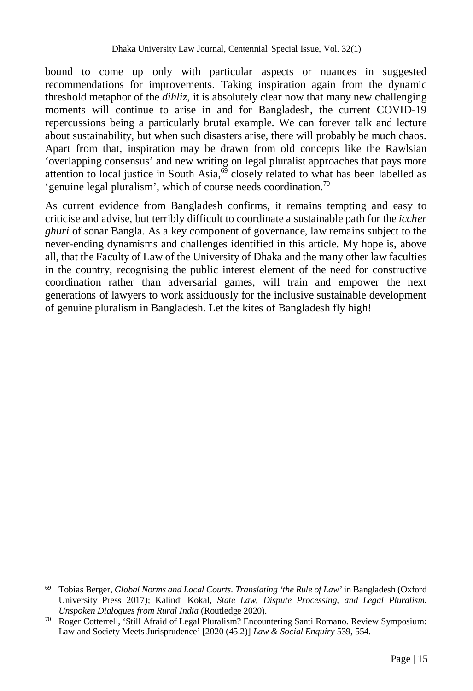bound to come up only with particular aspects or nuances in suggested recommendations for improvements. Taking inspiration again from the dynamic threshold metaphor of the *dihliz*, it is absolutely clear now that many new challenging moments will continue to arise in and for Bangladesh, the current COVID-19 repercussions being a particularly brutal example. We can forever talk and lecture about sustainability, but when such disasters arise, there will probably be much chaos. Apart from that, inspiration may be drawn from old concepts like the Rawlsian 'overlapping consensus' and new writing on legal pluralist approaches that pays more attention to local justice in South Asia,  $\frac{69}{9}$  closely related to what has been labelled as 'genuine legal pluralism', which of course needs coordination.<sup>70</sup>

As current evidence from Bangladesh confirms, it remains tempting and easy to criticise and advise, but terribly difficult to coordinate a sustainable path for the *iccher ghuri* of sonar Bangla. As a key component of governance, law remains subject to the never-ending dynamisms and challenges identified in this article. My hope is, above all, that the Faculty of Law of the University of Dhaka and the many other law faculties in the country, recognising the public interest element of the need for constructive coordination rather than adversarial games, will train and empower the next generations of lawyers to work assiduously for the inclusive sustainable development of genuine pluralism in Bangladesh. Let the kites of Bangladesh fly high!

 $\overline{a}$ <sup>69</sup> Tobias Berger, *Global Norms and Local Courts. Translating 'the Rule of Law'* in Bangladesh (Oxford University Press 2017); Kalindi Kokal, *State Law, Dispute Processing, and Legal Pluralism. Unspoken Dialogues from Rural India* (Routledge 2020).

<sup>70</sup> Roger Cotterrell, 'Still Afraid of Legal Pluralism? Encountering Santi Romano. Review Symposium: Law and Society Meets Jurisprudence' [2020 (45.2)] *Law & Social Enquiry* 539, 554.